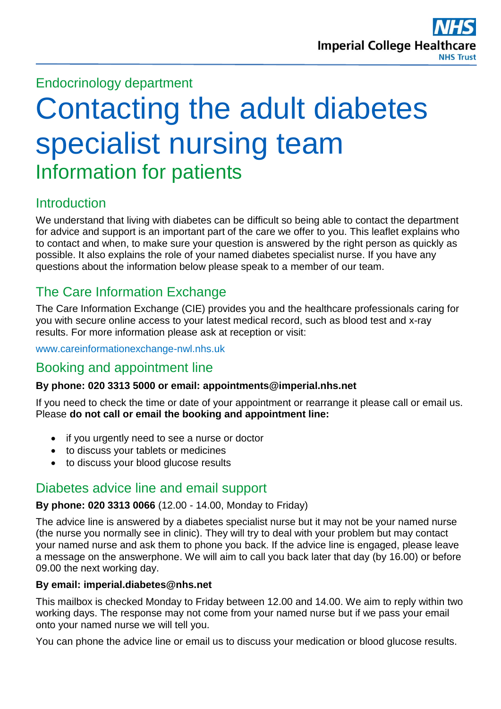# Endocrinology department

# Contacting the adult diabetes specialist nursing team Information for patients

# **Introduction**

We understand that living with diabetes can be difficult so being able to contact the department for advice and support is an important part of the care we offer to you. This leaflet explains who to contact and when, to make sure your question is answered by the right person as quickly as possible. It also explains the role of your named diabetes specialist nurse. If you have any questions about the information below please speak to a member of our team.

# The Care Information Exchange

The Care Information Exchange (CIE) provides you and the healthcare professionals caring for you with secure online access to your latest medical record, such as blood test and x-ray results. For more information please ask at reception or visit:

[www.careinformationexchange-nwl.nhs.uk](http://www.careinformationexchange-nwl.nhs.uk/)

## Booking and appointment line

#### **By phone: 020 3313 5000 or email: appointments@imperial.nhs.net**

If you need to check the time or date of your appointment or rearrange it please call or email us. Please **do not call or email the booking and appointment line:**

- if you urgently need to see a nurse or doctor
- to discuss your tablets or medicines
- to discuss your blood glucose results

# Diabetes advice line and email support

#### **By phone: 020 3313 0066** (12.00 - 14.00, Monday to Friday)

The advice line is answered by a diabetes specialist nurse but it may not be your named nurse (the nurse you normally see in clinic). They will try to deal with your problem but may contact your named nurse and ask them to phone you back. If the advice line is engaged, please leave a message on the answerphone. We will aim to call you back later that day (by 16.00) or before 09.00 the next working day.

#### **By email: imperial.diabetes@nhs.net**

This mailbox is checked Monday to Friday between 12.00 and 14.00. We aim to reply within two working days. The response may not come from your named nurse but if we pass your email onto your named nurse we will tell you.

You can phone the advice line or email us to discuss your medication or blood glucose results.